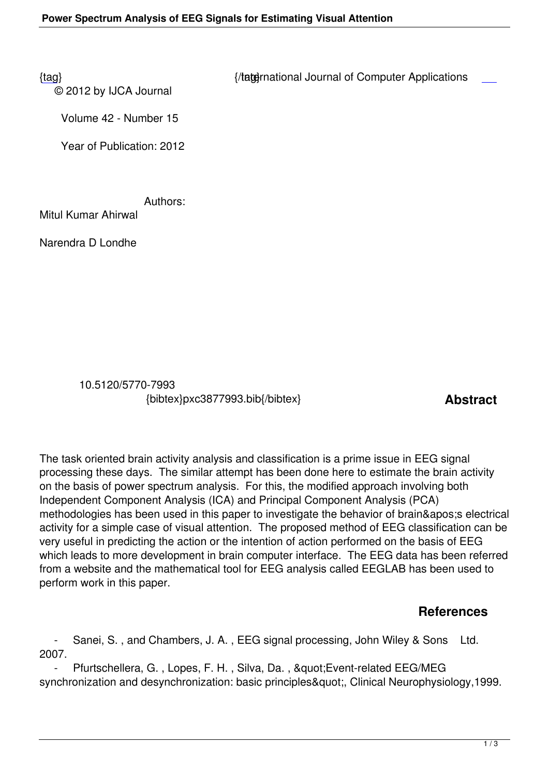© 2012 by IJCA Journal

{tag} International Journal of Computer Applications

Volume 42 - Number 15

Year of Publication: 2012

Authors:

Mitul Kumar Ahirwal

Narendra D Londhe

 10.5120/5770-7993 {bibtex}pxc3877993.bib{/bibtex} **Abstract** 

The task oriented brain activity analysis and classification is a prime issue in EEG signal processing these days. The similar attempt has been done here to estimate the brain activity on the basis of power spectrum analysis. For this, the modified approach involving both Independent Component Analysis (ICA) and Principal Component Analysis (PCA) methodologies has been used in this paper to investigate the behavior of brain&apos: s electrical activity for a simple case of visual attention. The proposed method of EEG classification can be very useful in predicting the action or the intention of action performed on the basis of EEG which leads to more development in brain computer interface. The EEG data has been referred from a website and the mathematical tool for EEG analysis called EEGLAB has been used to perform work in this paper.

## **References**

 - Sanei, S. , and Chambers, J. A. , EEG signal processing, John Wiley & Sons Ltd. 2007.

Pfurtschellera, G., Lopes, F. H., Silva, Da., " Event-related EEG/MEG synchronization and desynchronization: basic principles", Clinical Neurophysiology,1999.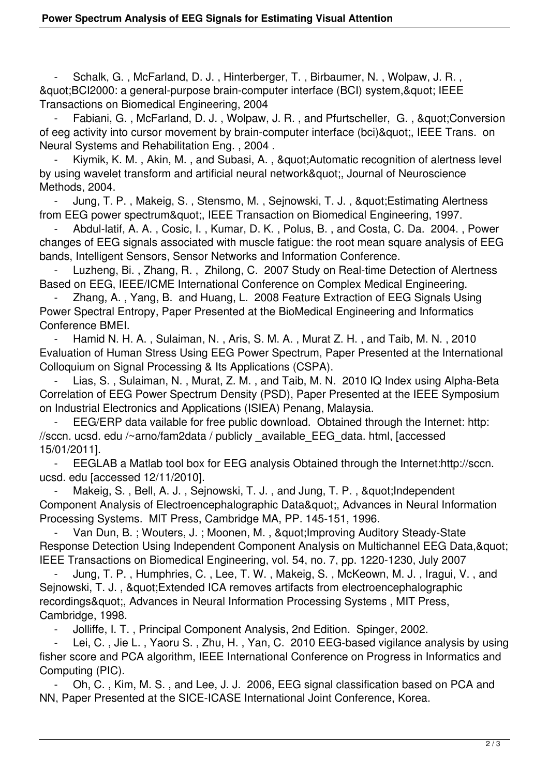- Schalk, G. , McFarland, D. J. , Hinterberger, T. , Birbaumer, N. , Wolpaw, J. R. , & quot; BCI2000: a general-purpose brain-computer interface (BCI) system, & quot; IEEE Transactions on Biomedical Engineering, 2004

Fabiani, G., McFarland, D. J., Wolpaw, J. R., and Pfurtscheller, G., "Conversion of eeg activity into cursor movement by brain-computer interface (bci)", IEEE Trans. on Neural Systems and Rehabilitation Eng. , 2004 .

Kiymik, K. M., Akin, M., and Subasi, A., & auot: Automatic recognition of alertness level by using wavelet transform and artificial neural network", Journal of Neuroscience Methods, 2004.

Jung, T. P., Makeig, S., Stensmo, M., Sejnowski, T. J., & quot; Estimating Alertness from EEG power spectrum", IEEE Transaction on Biomedical Engineering, 1997.

 - Abdul-latif, A. A. , Cosic, I. , Kumar, D. K. , Polus, B. , and Costa, C. Da. 2004. , Power changes of EEG signals associated with muscle fatigue: the root mean square analysis of EEG bands, Intelligent Sensors, Sensor Networks and Information Conference.

Luzheng, Bi., Zhang, R., Zhilong, C. 2007 Study on Real-time Detection of Alertness Based on EEG, IEEE/ICME International Conference on Complex Medical Engineering.

 - Zhang, A. , Yang, B. and Huang, L. 2008 Feature Extraction of EEG Signals Using Power Spectral Entropy, Paper Presented at the BioMedical Engineering and Informatics Conference BMEI.

Hamid N. H. A., Sulaiman, N., Aris, S. M. A., Murat Z. H., and Taib, M. N., 2010 Evaluation of Human Stress Using EEG Power Spectrum, Paper Presented at the International Colloquium on Signal Processing & Its Applications (CSPA).

 - Lias, S. , Sulaiman, N. , Murat, Z. M. , and Taib, M. N. 2010 IQ Index using Alpha-Beta Correlation of EEG Power Spectrum Density (PSD), Paper Presented at the IEEE Symposium on Industrial Electronics and Applications (ISIEA) Penang, Malaysia.

EEG/ERP data vailable for free public download. Obtained through the Internet: http: //sccn. ucsd. edu /~arno/fam2data / publicly \_available\_EEG\_data. html, [accessed 15/01/2011].

EEGLAB a Matlab tool box for EEG analysis Obtained through the Internet:http://sccn. ucsd. edu [accessed 12/11/2010].

Makeig, S., Bell, A. J., Sejnowski, T. J., and Jung, T. P., & quot; Independent Component Analysis of Electroencephalographic Data", Advances in Neural Information Processing Systems. MlT Press, Cambridge MA, PP. 145-151, 1996.

Van Dun, B.; Wouters, J.; Moonen, M., " Improving Auditory Steady-State Response Detection Using Independent Component Analysis on Multichannel EEG Data, & quot; IEEE Transactions on Biomedical Engineering, vol. 54, no. 7, pp. 1220-1230, July 2007

Jung, T. P., Humphries, C., Lee, T. W., Makeig, S., McKeown, M. J., Iragui, V., and Sejnowski, T. J., " Extended ICA removes artifacts from electroencephalographic recordings&quot:, Advances in Neural Information Processing Systems, MIT Press, Cambridge, 1998.

- Jolliffe, I. T. , Principal Component Analysis, 2nd Edition. Spinger, 2002.

Lei, C., Jie L., Yaoru S., Zhu, H., Yan, C. 2010 EEG-based vigilance analysis by using fisher score and PCA algorithm, IEEE International Conference on Progress in Informatics and Computing (PIC).

 - Oh, C. , Kim, M. S. , and Lee, J. J. 2006, EEG signal classification based on PCA and NN, Paper Presented at the SICE-ICASE International Joint Conference, Korea.